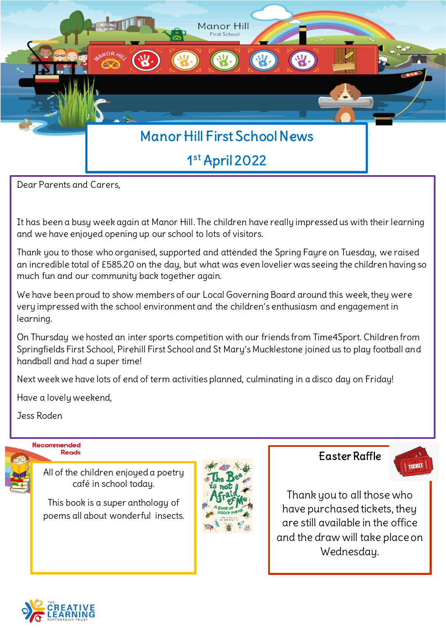

Dear Parents and Carers,

It has been a busy week again at Manor Hill. The children have really impressed us with their learning and we have enjoyed opening up our school to lots of visitors.

Thank you to those who organised, supported and attended the Spring Fayre on Tuesday, we raised an incredible total of £585.20 on the day, but what was even lovelier was seeing the children having so much fun and our community back together again.

We have been proud to show members of our Local Governing Board around this week, they were very impressed with the school environment and the children's enthusiasm and engagement in learning.

On Thursday we hosted an inter sports competition with our friends from Time4Sport. Children from Springfields First School, Pirehill First School and St Mary's Mucklestone joined us to play football and handball and had a super time!

Next week we have lots of end of term activities planned, culminating in a disco day on Friday!

Have a lovely weekend,

Jess Roden



All of the children enjoyed a poetry café in school today.

This book is a super anthology of poems all about wonderful insects.



Easter Raffle



Thank you to all those who have purchased tickets, they are still available in the office and the draw will take place on Wednesday.